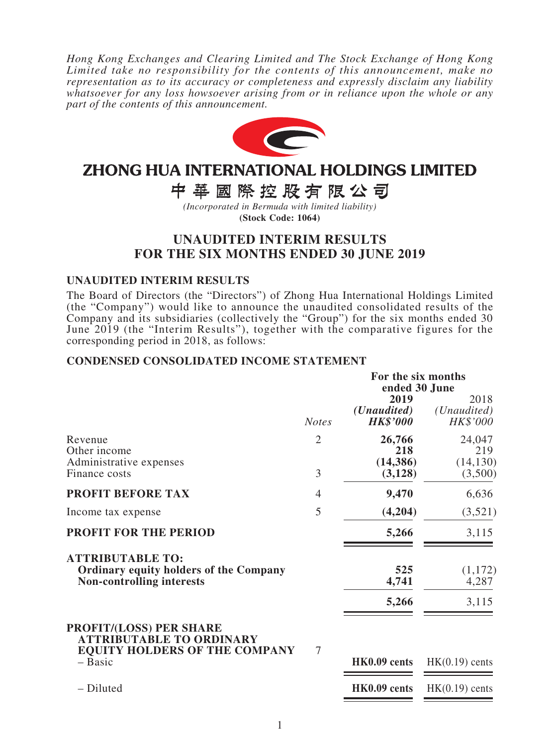*Hong Kong Exchanges and Clearing Limited and The Stock Exchange of Hong Kong Limited take no responsibility for the contents of this announcement, make no representation as to its accuracy or completeness and expressly disclaim any liability whatsoever for any loss howsoever arising from or in reliance upon the whole or any part of the contents of this announcement.*



# ZHONG HUA INTERNATIONAL HOLDINGS LIMITED

中華國際控股有限公司

*(Incorporated in Bermuda with limited liability)* **(Stock Code: 1064)**

# **UNAUDITED INTERIM RESULTS FOR THE SIX MONTHS ENDED 30 JUNE 2019**

### **UNAUDITED INTERIM RESULTS**

The Board of Directors (the "Directors") of Zhong Hua International Holdings Limited (the "Company") would like to announce the unaudited consolidated results of the Company and its subsidiaries (collectively the "Group") for the six months ended 30 June 2019 (the "Interim Results"), together with the comparative figures for the corresponding period in 2018, as follows:

### **CONDENSED CONSOLIDATED INCOME STATEMENT**

|                                                                                                              |                     | For the six months<br>ended 30 June             |                                          |  |
|--------------------------------------------------------------------------------------------------------------|---------------------|-------------------------------------------------|------------------------------------------|--|
|                                                                                                              | <b>Notes</b>        | 2019<br>( <i>Unaudited</i> )<br><b>HK\$'000</b> | 2018<br>( <i>Unaudited</i> )<br>HK\$'000 |  |
| Revenue<br>Other income<br>Administrative expenses<br>Finance costs                                          | $\overline{2}$<br>3 | 26,766<br>218<br>(14, 386)<br>(3,128)           | 24,047<br>219<br>(14, 130)<br>(3,500)    |  |
| <b>PROFIT BEFORE TAX</b>                                                                                     | 4                   | 9,470                                           | 6,636                                    |  |
| Income tax expense                                                                                           | 5                   | (4,204)                                         | (3,521)                                  |  |
| <b>PROFIT FOR THE PERIOD</b>                                                                                 |                     | 5,266                                           | 3,115                                    |  |
| <b>ATTRIBUTABLE TO:</b><br><b>Ordinary equity holders of the Company</b><br><b>Non-controlling interests</b> |                     | 525<br>4,741                                    | (1,172)<br>4,287                         |  |
|                                                                                                              |                     | 5,266                                           | 3,115                                    |  |
| <b>PROFIT/(LOSS) PER SHARE</b><br><b>ATTRIBUTABLE TO ORDINARY</b><br><b>EQUITY HOLDERS OF THE COMPANY</b>    | 7                   |                                                 |                                          |  |
| - Basic                                                                                                      |                     | HK0.09 cents                                    | $HK(0.19)$ cents                         |  |
| - Diluted                                                                                                    |                     | HK0.09 cents                                    | $HK(0.19)$ cents                         |  |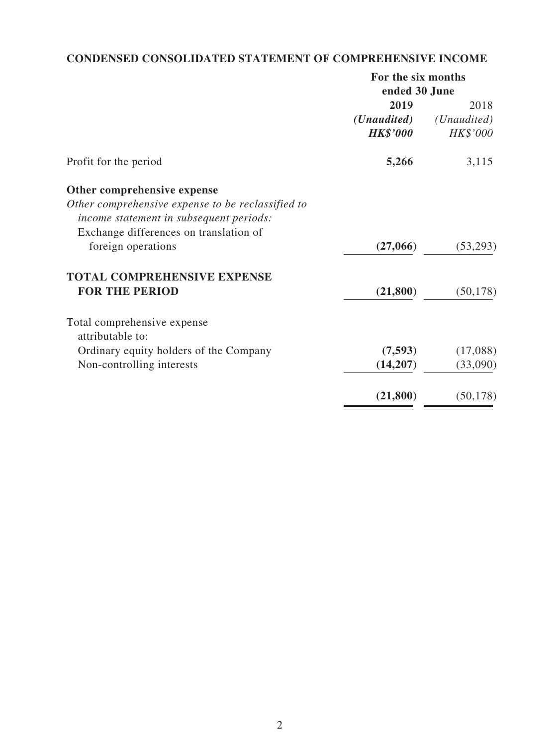# **CONDENSED CONSOLIDATED STATEMENT OF COMPREHENSIVE INCOME**

| For the six months   |             |  |
|----------------------|-------------|--|
| ended 30 June        |             |  |
| 2019                 | 2018        |  |
| ( <i>Unaudited</i> ) | (Unaudited) |  |
| <b>HK\$'000</b>      | HK\$'000    |  |
| 5,266                | 3,115       |  |
|                      |             |  |
|                      |             |  |
|                      |             |  |
|                      |             |  |
| (27,066)             | (53,293)    |  |
|                      |             |  |
| (21, 800)            | (50, 178)   |  |
|                      |             |  |
|                      |             |  |
| (7,593)              | (17,088)    |  |
| (14,207)             | (33,090)    |  |
| (21, 800)            | (50, 178)   |  |
|                      |             |  |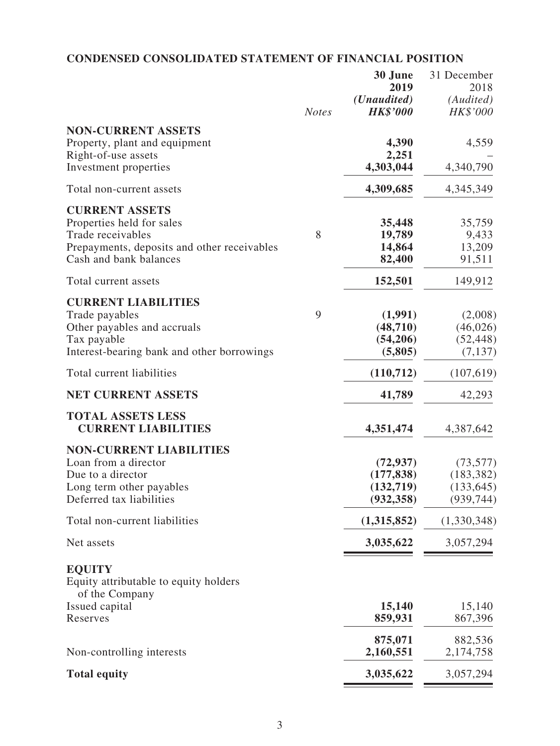# **CONDENSED CONSOLIDATED STATEMENT OF FINANCIAL POSITION**

|                                                                                                                                                  |              | 30 June<br>2019                                    | 31 December<br>2018                                 |
|--------------------------------------------------------------------------------------------------------------------------------------------------|--------------|----------------------------------------------------|-----------------------------------------------------|
|                                                                                                                                                  | <b>Notes</b> | ( <i>Unaudited</i> )<br><b>HK\$'000</b>            | (Audited)<br>HK\$'000                               |
| <b>NON-CURRENT ASSETS</b><br>Property, plant and equipment                                                                                       |              | 4,390                                              | 4,559                                               |
| Right-of-use assets<br>Investment properties                                                                                                     |              | 2,251<br>4,303,044                                 | 4,340,790                                           |
| Total non-current assets                                                                                                                         |              | 4,309,685                                          | 4, 345, 349                                         |
| <b>CURRENT ASSETS</b><br>Properties held for sales<br>Trade receivables<br>Prepayments, deposits and other receivables<br>Cash and bank balances | 8            | 35,448<br>19,789<br>14,864<br>82,400               | 35,759<br>9,433<br>13,209<br>91,511                 |
| Total current assets                                                                                                                             |              | 152,501                                            | 149,912                                             |
| <b>CURRENT LIABILITIES</b><br>Trade payables<br>Other payables and accruals<br>Tax payable<br>Interest-bearing bank and other borrowings         | 9            | (1,991)<br>(48, 710)<br>(54,206)<br>(5,805)        | (2,008)<br>(46, 026)<br>(52, 448)<br>(7, 137)       |
| Total current liabilities                                                                                                                        |              | (110, 712)                                         | (107,619)                                           |
| <b>NET CURRENT ASSETS</b>                                                                                                                        |              | 41,789                                             | 42,293                                              |
| <b>TOTAL ASSETS LESS</b><br><b>CURRENT LIABILITIES</b>                                                                                           |              | 4,351,474                                          | 4,387,642                                           |
| <b>NON-CURRENT LIABILITIES</b><br>Loan from a director<br>Due to a director<br>Long term other payables<br>Deferred tax liabilities              |              | (72, 937)<br>(177, 838)<br>(132,719)<br>(932, 358) | (73, 577)<br>(183, 382)<br>(133, 645)<br>(939, 744) |
| Total non-current liabilities                                                                                                                    |              | (1,315,852)                                        | (1,330,348)                                         |
| Net assets                                                                                                                                       |              | 3,035,622                                          | 3,057,294                                           |
| <b>EQUITY</b><br>Equity attributable to equity holders<br>of the Company                                                                         |              |                                                    |                                                     |
| Issued capital<br>Reserves                                                                                                                       |              | 15,140<br>859,931                                  | 15,140<br>867,396                                   |
| Non-controlling interests                                                                                                                        |              | 875,071<br>2,160,551                               | 882,536<br>2,174,758                                |
| <b>Total equity</b>                                                                                                                              |              | 3,035,622                                          | 3,057,294                                           |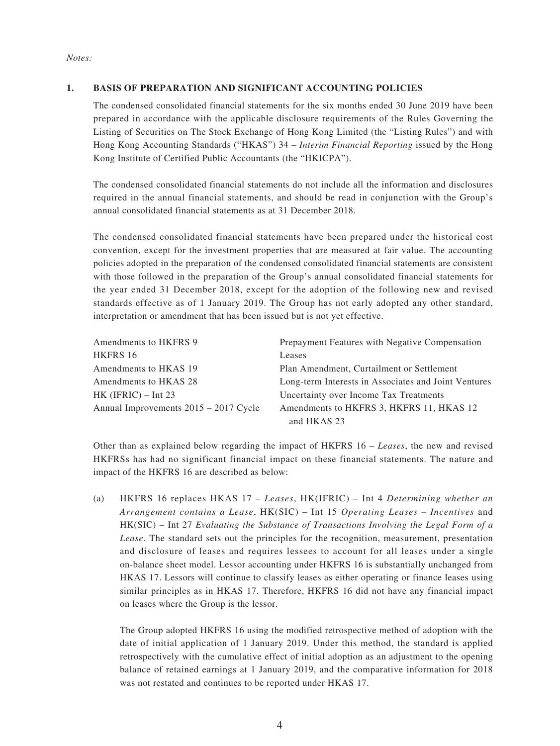#### *Notes:*

#### **1. BASIS OF PREPARATION AND SIGNIFICANT ACCOUNTING POLICIES**

The condensed consolidated financial statements for the six months ended 30 June 2019 have been prepared in accordance with the applicable disclosure requirements of the Rules Governing the Listing of Securities on The Stock Exchange of Hong Kong Limited (the "Listing Rules") and with Hong Kong Accounting Standards ("HKAS") 34 – *Interim Financial Reporting* issued by the Hong Kong Institute of Certified Public Accountants (the "HKICPA").

The condensed consolidated financial statements do not include all the information and disclosures required in the annual financial statements, and should be read in conjunction with the Group's annual consolidated financial statements as at 31 December 2018.

The condensed consolidated financial statements have been prepared under the historical cost convention, except for the investment properties that are measured at fair value. The accounting policies adopted in the preparation of the condensed consolidated financial statements are consistent with those followed in the preparation of the Group's annual consolidated financial statements for the year ended 31 December 2018, except for the adoption of the following new and revised standards effective as of 1 January 2019. The Group has not early adopted any other standard, interpretation or amendment that has been issued but is not yet effective.

| Amendments to HKFRS 9                   | Prepayment Features with Negative Compensation       |
|-----------------------------------------|------------------------------------------------------|
| HKFRS 16                                | Leases                                               |
| Amendments to HKAS 19                   | Plan Amendment, Curtailment or Settlement            |
| Amendments to HKAS 28                   | Long-term Interests in Associates and Joint Ventures |
| $HK$ (IFRIC) – Int 23                   | Uncertainty over Income Tax Treatments               |
| Annual Improvements $2015 - 2017$ Cycle | Amendments to HKFRS 3, HKFRS 11, HKAS 12             |
|                                         | and HKAS 23                                          |

Other than as explained below regarding the impact of HKFRS 16 – *Leases*, the new and revised HKFRSs has had no significant financial impact on these financial statements. The nature and impact of the HKFRS 16 are described as below:

(a) HKFRS 16 replaces HKAS 17 – *Leases*, HK(IFRIC) – Int 4 *Determining whether an Arrangement contains a Lease*, HK(SIC) – Int 15 *Operating Leases – Incentives* and HK(SIC) – Int 27 *Evaluating the Substance of Transactions Involving the Legal Form of a Lease*. The standard sets out the principles for the recognition, measurement, presentation and disclosure of leases and requires lessees to account for all leases under a single on-balance sheet model. Lessor accounting under HKFRS 16 is substantially unchanged from HKAS 17. Lessors will continue to classify leases as either operating or finance leases using similar principles as in HKAS 17. Therefore, HKFRS 16 did not have any financial impact on leases where the Group is the lessor.

The Group adopted HKFRS 16 using the modified retrospective method of adoption with the date of initial application of 1 January 2019. Under this method, the standard is applied retrospectively with the cumulative effect of initial adoption as an adjustment to the opening balance of retained earnings at 1 January 2019, and the comparative information for 2018 was not restated and continues to be reported under HKAS 17.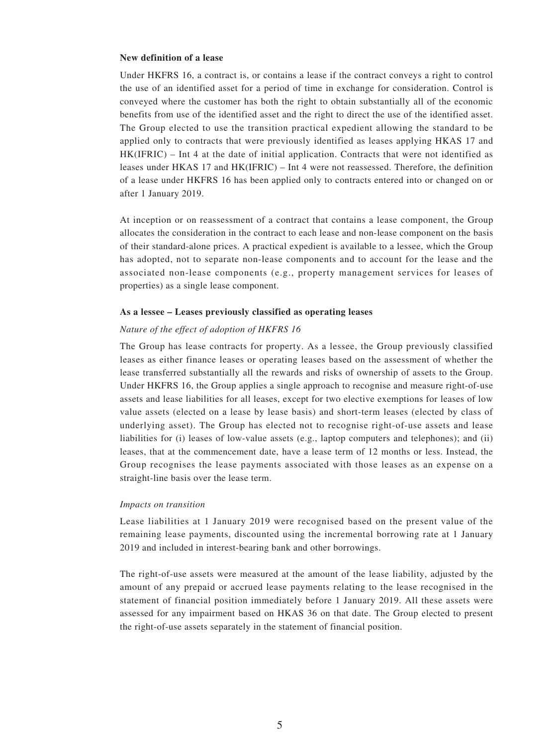#### **New definition of a lease**

Under HKFRS 16, a contract is, or contains a lease if the contract conveys a right to control the use of an identified asset for a period of time in exchange for consideration. Control is conveyed where the customer has both the right to obtain substantially all of the economic benefits from use of the identified asset and the right to direct the use of the identified asset. The Group elected to use the transition practical expedient allowing the standard to be applied only to contracts that were previously identified as leases applying HKAS 17 and HK(IFRIC) – Int 4 at the date of initial application. Contracts that were not identified as leases under HKAS 17 and HK(IFRIC) – Int 4 were not reassessed. Therefore, the definition of a lease under HKFRS 16 has been applied only to contracts entered into or changed on or after 1 January 2019.

At inception or on reassessment of a contract that contains a lease component, the Group allocates the consideration in the contract to each lease and non-lease component on the basis of their standard-alone prices. A practical expedient is available to a lessee, which the Group has adopted, not to separate non-lease components and to account for the lease and the associated non-lease components (e.g., property management services for leases of properties) as a single lease component.

#### **As a lessee – Leases previously classified as operating leases**

#### *Nature of the effect of adoption of HKFRS 16*

The Group has lease contracts for property. As a lessee, the Group previously classified leases as either finance leases or operating leases based on the assessment of whether the lease transferred substantially all the rewards and risks of ownership of assets to the Group. Under HKFRS 16, the Group applies a single approach to recognise and measure right-of-use assets and lease liabilities for all leases, except for two elective exemptions for leases of low value assets (elected on a lease by lease basis) and short-term leases (elected by class of underlying asset). The Group has elected not to recognise right-of-use assets and lease liabilities for (i) leases of low-value assets (e.g., laptop computers and telephones); and (ii) leases, that at the commencement date, have a lease term of 12 months or less. Instead, the Group recognises the lease payments associated with those leases as an expense on a straight-line basis over the lease term.

#### *Impacts on transition*

Lease liabilities at 1 January 2019 were recognised based on the present value of the remaining lease payments, discounted using the incremental borrowing rate at 1 January 2019 and included in interest-bearing bank and other borrowings.

The right-of-use assets were measured at the amount of the lease liability, adjusted by the amount of any prepaid or accrued lease payments relating to the lease recognised in the statement of financial position immediately before 1 January 2019. All these assets were assessed for any impairment based on HKAS 36 on that date. The Group elected to present the right-of-use assets separately in the statement of financial position.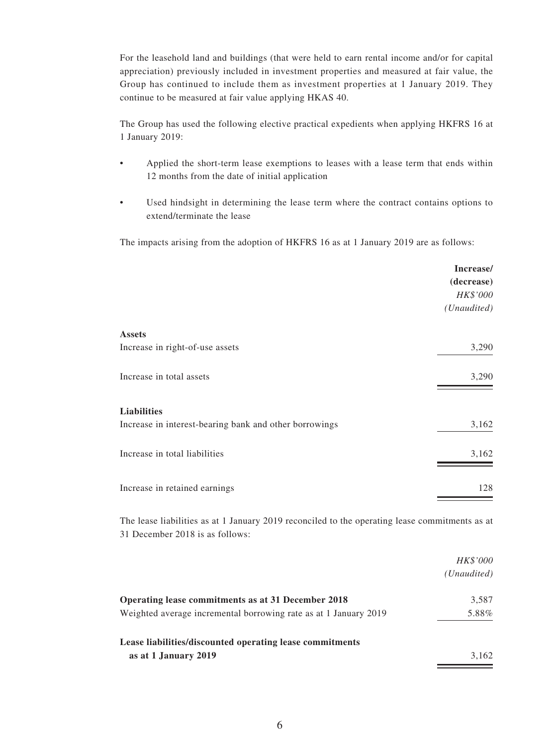For the leasehold land and buildings (that were held to earn rental income and/or for capital appreciation) previously included in investment properties and measured at fair value, the Group has continued to include them as investment properties at 1 January 2019. They continue to be measured at fair value applying HKAS 40.

The Group has used the following elective practical expedients when applying HKFRS 16 at 1 January 2019:

- Applied the short-term lease exemptions to leases with a lease term that ends within 12 months from the date of initial application
- Used hindsight in determining the lease term where the contract contains options to extend/terminate the lease

The impacts arising from the adoption of HKFRS 16 as at 1 January 2019 are as follows:

|                                                        | Increase/   |
|--------------------------------------------------------|-------------|
|                                                        | (decrease)  |
|                                                        | HK\$'000    |
|                                                        | (Unaudited) |
| <b>Assets</b>                                          |             |
| Increase in right-of-use assets                        | 3,290       |
| Increase in total assets                               | 3,290       |
| <b>Liabilities</b>                                     |             |
| Increase in interest-bearing bank and other borrowings | 3,162       |
| Increase in total liabilities                          | 3,162       |
| Increase in retained earnings                          | 128         |

The lease liabilities as at 1 January 2019 reconciled to the operating lease commitments as at 31 December 2018 is as follows:

|                                                                  | <i>HK\$'000</i> |
|------------------------------------------------------------------|-----------------|
|                                                                  | (Unaudited)     |
| Operating lease commitments as at 31 December 2018               | 3,587           |
| Weighted average incremental borrowing rate as at 1 January 2019 | 5.88%           |
| Lease liabilities/discounted operating lease commitments         |                 |
| as at 1 January 2019                                             | 3.162           |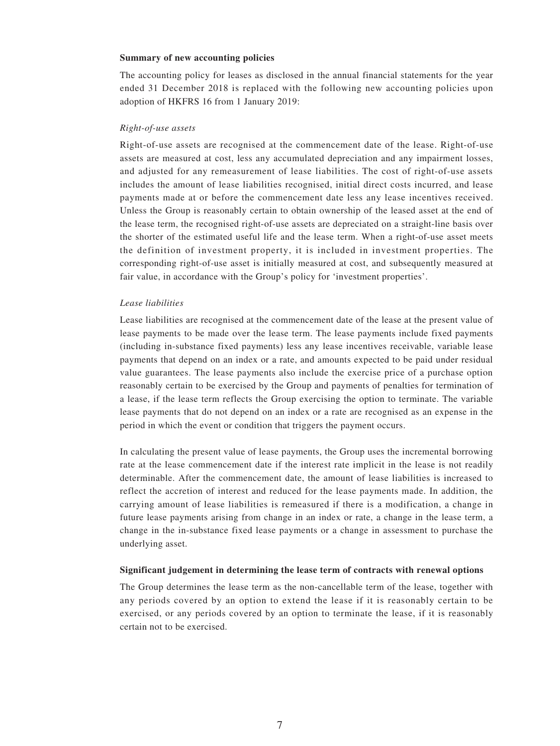#### **Summary of new accounting policies**

The accounting policy for leases as disclosed in the annual financial statements for the year ended 31 December 2018 is replaced with the following new accounting policies upon adoption of HKFRS 16 from 1 January 2019:

#### *Right-of-use assets*

Right-of-use assets are recognised at the commencement date of the lease. Right-of-use assets are measured at cost, less any accumulated depreciation and any impairment losses, and adjusted for any remeasurement of lease liabilities. The cost of right-of-use assets includes the amount of lease liabilities recognised, initial direct costs incurred, and lease payments made at or before the commencement date less any lease incentives received. Unless the Group is reasonably certain to obtain ownership of the leased asset at the end of the lease term, the recognised right-of-use assets are depreciated on a straight-line basis over the shorter of the estimated useful life and the lease term. When a right-of-use asset meets the definition of investment property, it is included in investment properties. The corresponding right-of-use asset is initially measured at cost, and subsequently measured at fair value, in accordance with the Group's policy for 'investment properties'.

#### *Lease liabilities*

Lease liabilities are recognised at the commencement date of the lease at the present value of lease payments to be made over the lease term. The lease payments include fixed payments (including in-substance fixed payments) less any lease incentives receivable, variable lease payments that depend on an index or a rate, and amounts expected to be paid under residual value guarantees. The lease payments also include the exercise price of a purchase option reasonably certain to be exercised by the Group and payments of penalties for termination of a lease, if the lease term reflects the Group exercising the option to terminate. The variable lease payments that do not depend on an index or a rate are recognised as an expense in the period in which the event or condition that triggers the payment occurs.

In calculating the present value of lease payments, the Group uses the incremental borrowing rate at the lease commencement date if the interest rate implicit in the lease is not readily determinable. After the commencement date, the amount of lease liabilities is increased to reflect the accretion of interest and reduced for the lease payments made. In addition, the carrying amount of lease liabilities is remeasured if there is a modification, a change in future lease payments arising from change in an index or rate, a change in the lease term, a change in the in-substance fixed lease payments or a change in assessment to purchase the underlying asset.

#### **Significant judgement in determining the lease term of contracts with renewal options**

The Group determines the lease term as the non-cancellable term of the lease, together with any periods covered by an option to extend the lease if it is reasonably certain to be exercised, or any periods covered by an option to terminate the lease, if it is reasonably certain not to be exercised.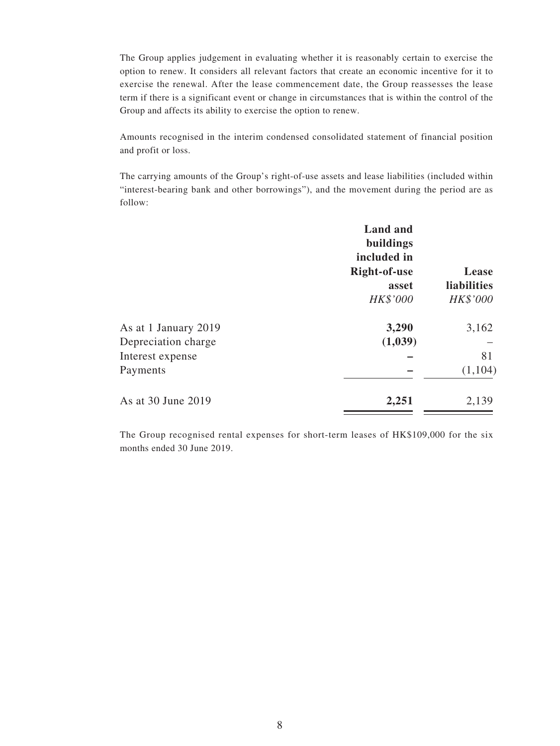The Group applies judgement in evaluating whether it is reasonably certain to exercise the option to renew. It considers all relevant factors that create an economic incentive for it to exercise the renewal. After the lease commencement date, the Group reassesses the lease term if there is a significant event or change in circumstances that is within the control of the Group and affects its ability to exercise the option to renew.

Amounts recognised in the interim condensed consolidated statement of financial position and profit or loss.

The carrying amounts of the Group's right-of-use assets and lease liabilities (included within "interest-bearing bank and other borrowings"), and the movement during the period are as follow:

|                      | <b>Land and</b><br>buildings<br>included in |                    |
|----------------------|---------------------------------------------|--------------------|
|                      | Right-of-use                                | Lease              |
|                      | asset                                       | <b>liabilities</b> |
|                      | HK\$'000                                    | HK\$'000           |
| As at 1 January 2019 | 3,290                                       | 3,162              |
| Depreciation charge  | (1,039)                                     |                    |
| Interest expense     |                                             | 81                 |
| Payments             |                                             | (1,104)            |
| As at 30 June 2019   | 2,251                                       | 2,139              |

The Group recognised rental expenses for short-term leases of HK\$109,000 for the six months ended 30 June 2019.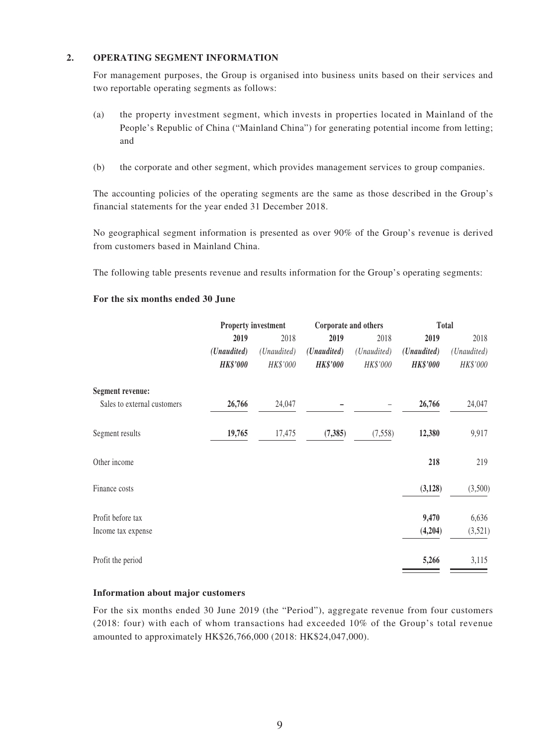#### **2. OPERATING SEGMENT INFORMATION**

For management purposes, the Group is organised into business units based on their services and two reportable operating segments as follows:

- (a) the property investment segment, which invests in properties located in Mainland of the People's Republic of China ("Mainland China") for generating potential income from letting; and
- (b) the corporate and other segment, which provides management services to group companies.

The accounting policies of the operating segments are the same as those described in the Group's financial statements for the year ended 31 December 2018.

No geographical segment information is presented as over 90% of the Group's revenue is derived from customers based in Mainland China.

The following table presents revenue and results information for the Group's operating segments:

# **Property investment Corporate and others Total 2019** 2018 **2019** 2018 **2019** 2018 *(Unaudited) (Unaudited) (Unaudited) (Unaudited) (Unaudited) (Unaudited) HK\$'000 HK\$'000 HK\$'000 HK\$'000 HK\$'000 HK\$'000* **Segment revenue:** Sales to external customers **26,766** 24,047 **–** – **26,766** 24,047 Segment results **19,765** 17,475 **(7,385)** (7,558) **12,380** 9,917 Other income **218** 219 Finance costs **(3,128)** (3,500) Profit before tax **9,470** 6,636 Income tax expense **(4,204)** (3,521) Profit the period **5,266** 3,115

#### **For the six months ended 30 June**

#### **Information about major customers**

For the six months ended 30 June 2019 (the "Period"), aggregate revenue from four customers (2018: four) with each of whom transactions had exceeded 10% of the Group's total revenue amounted to approximately HK\$26,766,000 (2018: HK\$24,047,000).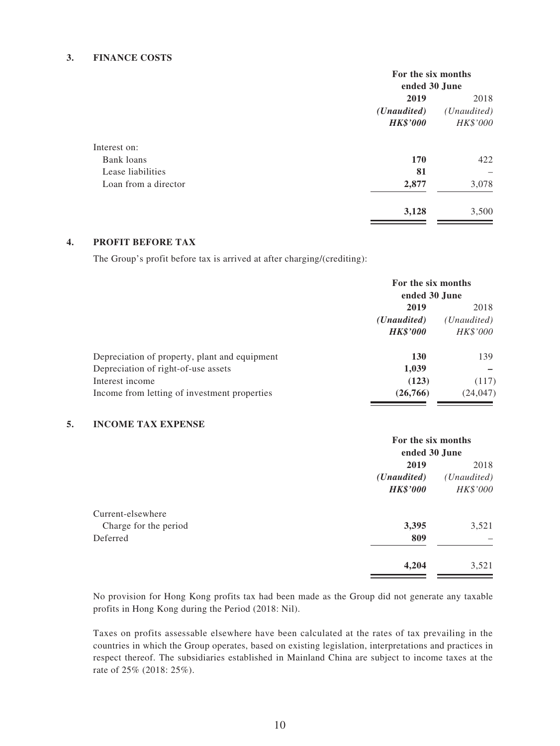#### **3. FINANCE COSTS**

|                      | For the six months   |                      |  |
|----------------------|----------------------|----------------------|--|
|                      | ended 30 June        |                      |  |
|                      | 2019                 |                      |  |
|                      | ( <i>Unaudited</i> ) | ( <i>Unaudited</i> ) |  |
|                      | <b>HK\$'000</b>      | HK\$'000             |  |
| Interest on:         |                      |                      |  |
| Bank loans           | 170                  | 422                  |  |
| Lease liabilities    | 81                   |                      |  |
| Loan from a director | 2,877                | 3,078                |  |
|                      | 3,128                | 3,500                |  |

### **4. PROFIT BEFORE TAX**

The Group's profit before tax is arrived at after charging/(crediting):

|                                               | For the six months<br>ended 30 June |             |
|-----------------------------------------------|-------------------------------------|-------------|
|                                               | 2019                                | 2018        |
|                                               | ( <i>Unaudited</i> )                | (Unaudited) |
|                                               | <b>HK\$'000</b>                     | HK\$'000    |
| Depreciation of property, plant and equipment | <b>130</b>                          | 139         |
| Depreciation of right-of-use assets           | 1,039                               |             |
| Interest income                               | (123)                               | (117)       |
| Income from letting of investment properties  | (26, 766)                           | (24, 047)   |

#### **5. INCOME TAX EXPENSE**

|                       | For the six months   |                      |  |
|-----------------------|----------------------|----------------------|--|
|                       | ended 30 June        |                      |  |
|                       | 2019                 | 2018                 |  |
|                       | ( <i>Unaudited</i> ) | ( <i>Unaudited</i> ) |  |
|                       | <b>HK\$'000</b>      | HK\$'000             |  |
| Current-elsewhere     |                      |                      |  |
| Charge for the period | 3,395                | 3,521                |  |
| Deferred              | 809                  |                      |  |
|                       | 4,204                | 3,521                |  |
|                       |                      |                      |  |

No provision for Hong Kong profits tax had been made as the Group did not generate any taxable profits in Hong Kong during the Period (2018: Nil).

Taxes on profits assessable elsewhere have been calculated at the rates of tax prevailing in the countries in which the Group operates, based on existing legislation, interpretations and practices in respect thereof. The subsidiaries established in Mainland China are subject to income taxes at the rate of 25% (2018: 25%).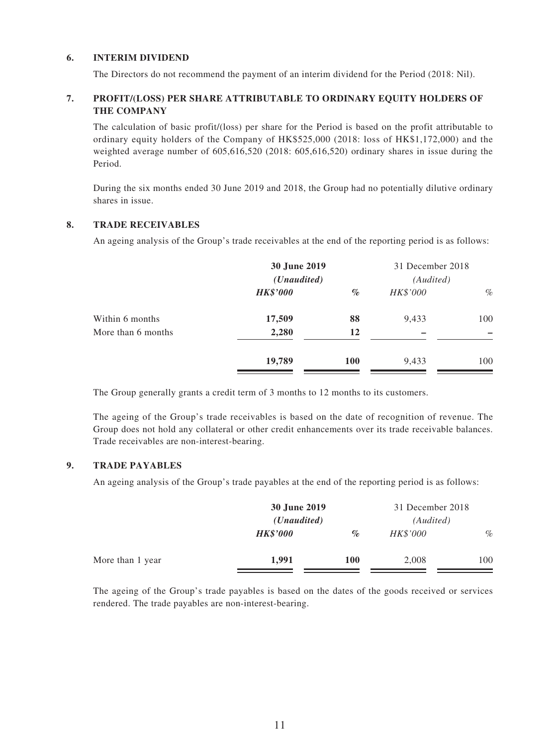#### **6. INTERIM DIVIDEND**

The Directors do not recommend the payment of an interim dividend for the Period (2018: Nil).

#### **7. PROFIT/(LOSS) PER SHARE ATTRIBUTABLE TO ORDINARY EQUITY HOLDERS OF THE COMPANY**

The calculation of basic profit/(loss) per share for the Period is based on the profit attributable to ordinary equity holders of the Company of HK\$525,000 (2018: loss of HK\$1,172,000) and the weighted average number of 605,616,520 (2018: 605,616,520) ordinary shares in issue during the Period.

During the six months ended 30 June 2019 and 2018, the Group had no potentially dilutive ordinary shares in issue.

#### **8. TRADE RECEIVABLES**

An ageing analysis of the Group's trade receivables at the end of the reporting period is as follows:

|                    | 30 June 2019<br>( <i>Unaudited</i> ) |            | 31 December 2018<br>(Audited) |      |
|--------------------|--------------------------------------|------------|-------------------------------|------|
|                    | <b>HK\$'000</b>                      | $\%$       | HK\$'000                      | $\%$ |
| Within 6 months    | 17,509                               | 88         | 9,433                         | 100  |
| More than 6 months | 2,280                                | 12         |                               |      |
|                    | 19,789                               | <b>100</b> | 9,433                         | 100  |

The Group generally grants a credit term of 3 months to 12 months to its customers.

The ageing of the Group's trade receivables is based on the date of recognition of revenue. The Group does not hold any collateral or other credit enhancements over its trade receivable balances. Trade receivables are non-interest-bearing.

### **9. TRADE PAYABLES**

An ageing analysis of the Group's trade payables at the end of the reporting period is as follows:

|                  | 30 June 2019<br>( <i>Unaudited</i> ) |            | 31 December 2018<br>(Audited) |      |
|------------------|--------------------------------------|------------|-------------------------------|------|
|                  |                                      |            |                               |      |
|                  | <b>HK\$'000</b>                      | $\%$       | HK\$'000                      | $\%$ |
| More than 1 year | 1,991                                | <b>100</b> | 2,008                         | 100  |

The ageing of the Group's trade payables is based on the dates of the goods received or services rendered. The trade payables are non-interest-bearing.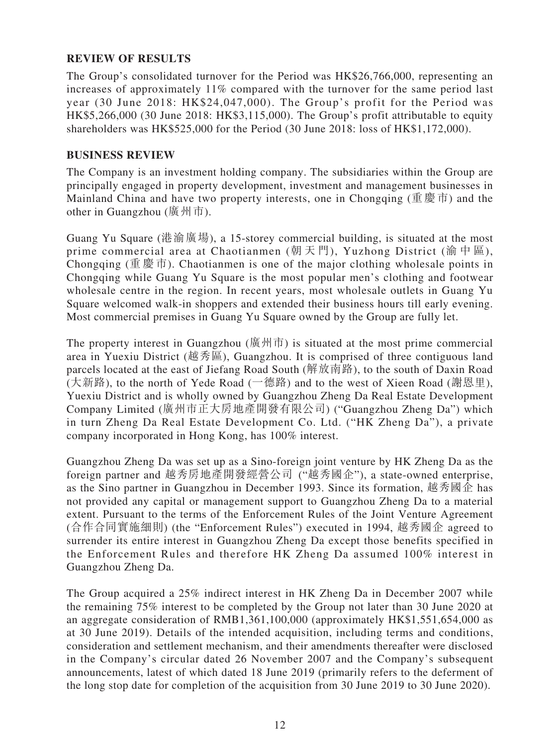# **REVIEW OF RESULTS**

The Group's consolidated turnover for the Period was HK\$26,766,000, representing an increases of approximately 11% compared with the turnover for the same period last year (30 June 2018: HK\$24,047,000). The Group's profit for the Period was HK\$5,266,000 (30 June 2018: HK\$3,115,000). The Group's profit attributable to equity shareholders was HK\$525,000 for the Period (30 June 2018: loss of HK\$1,172,000).

### **BUSINESS REVIEW**

The Company is an investment holding company. The subsidiaries within the Group are principally engaged in property development, investment and management businesses in Mainland China and have two property interests, one in Chongqing (重慶市) and the other in Guangzhou (廣州市).

Guang Yu Square (港渝廣場), a 15-storey commercial building, is situated at the most prime commercial area at Chaotianmen (朝天門), Yuzhong District (渝中區), Chongqing (重慶市). Chaotianmen is one of the major clothing wholesale points in Chongqing while Guang Yu Square is the most popular men's clothing and footwear wholesale centre in the region. In recent years, most wholesale outlets in Guang Yu Square welcomed walk-in shoppers and extended their business hours till early evening. Most commercial premises in Guang Yu Square owned by the Group are fully let.

The property interest in Guangzhou (廣州市) is situated at the most prime commercial area in Yuexiu District (越秀區), Guangzhou. It is comprised of three contiguous land parcels located at the east of Jiefang Road South (解放南路), to the south of Daxin Road (大新路), to the north of Yede Road (一德路) and to the west of Xieen Road (謝恩里), Yuexiu District and is wholly owned by Guangzhou Zheng Da Real Estate Development Company Limited (廣州市正大房地產開發有限公司) ("Guangzhou Zheng Da") which in turn Zheng Da Real Estate Development Co. Ltd. ("HK Zheng Da"), a private company incorporated in Hong Kong, has 100% interest.

Guangzhou Zheng Da was set up as a Sino-foreign joint venture by HK Zheng Da as the foreign partner and 越秀房地產開發經營公司 ("越秀國企"), a state-owned enterprise, as the Sino partner in Guangzhou in December 1993. Since its formation, 越秀國企 has not provided any capital or management support to Guangzhou Zheng Da to a material extent. Pursuant to the terms of the Enforcement Rules of the Joint Venture Agreement (合作合同實施細則) (the "Enforcement Rules") executed in 1994, 越秀國企 agreed to surrender its entire interest in Guangzhou Zheng Da except those benefits specified in the Enforcement Rules and therefore HK Zheng Da assumed 100% interest in Guangzhou Zheng Da.

The Group acquired a 25% indirect interest in HK Zheng Da in December 2007 while the remaining 75% interest to be completed by the Group not later than 30 June 2020 at an aggregate consideration of RMB1,361,100,000 (approximately HK\$1,551,654,000 as at 30 June 2019). Details of the intended acquisition, including terms and conditions, consideration and settlement mechanism, and their amendments thereafter were disclosed in the Company's circular dated 26 November 2007 and the Company's subsequent announcements, latest of which dated 18 June 2019 (primarily refers to the deferment of the long stop date for completion of the acquisition from 30 June 2019 to 30 June 2020).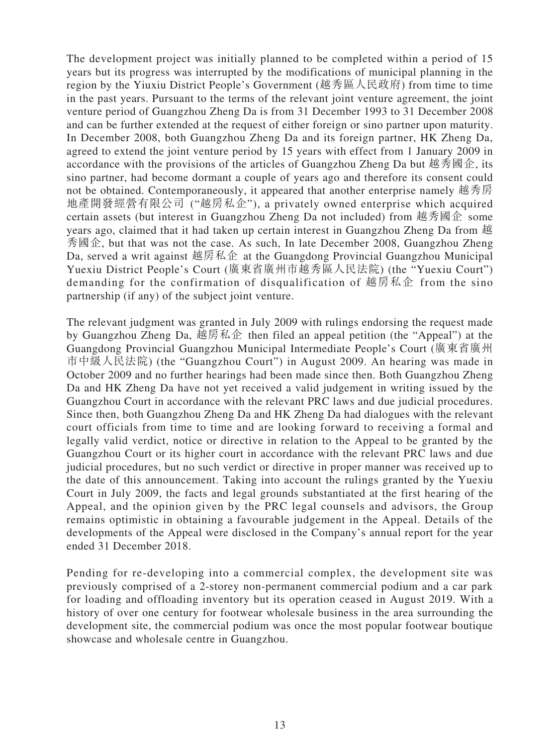The development project was initially planned to be completed within a period of 15 years but its progress was interrupted by the modifications of municipal planning in the region by the Yiuxiu District People's Government (越秀區人民政府) from time to time in the past years. Pursuant to the terms of the relevant joint venture agreement, the joint venture period of Guangzhou Zheng Da is from 31 December 1993 to 31 December 2008 and can be further extended at the request of either foreign or sino partner upon maturity. In December 2008, both Guangzhou Zheng Da and its foreign partner, HK Zheng Da, agreed to extend the joint venture period by 15 years with effect from 1 January 2009 in accordance with the provisions of the articles of Guangzhou Zheng Da but 越秀國企, its sino partner, had become dormant a couple of years ago and therefore its consent could not be obtained. Contemporaneously, it appeared that another enterprise namely 越秀房 地產開發經營有限公司 ("越房私企"), a privately owned enterprise which acquired certain assets (but interest in Guangzhou Zheng Da not included) from 越秀國企 some years ago, claimed that it had taken up certain interest in Guangzhou Zheng Da from 越 秀國企, but that was not the case. As such, In late December 2008, Guangzhou Zheng Da, served a writ against 越房私企 at the Guangdong Provincial Guangzhou Municipal Yuexiu District People's Court (廣東省廣州市越秀區人民法院) (the "Yuexiu Court") demanding for the confirmation of disqualification of 越房私企 from the sino partnership (if any) of the subject joint venture.

The relevant judgment was granted in July 2009 with rulings endorsing the request made by Guangzhou Zheng Da, 越房私企 then filed an appeal petition (the "Appeal") at the Guangdong Provincial Guangzhou Municipal Intermediate People's Court (廣東省廣州 市中級人民法院) (the "Guangzhou Court") in August 2009. An hearing was made in October 2009 and no further hearings had been made since then. Both Guangzhou Zheng Da and HK Zheng Da have not yet received a valid judgement in writing issued by the Guangzhou Court in accordance with the relevant PRC laws and due judicial procedures. Since then, both Guangzhou Zheng Da and HK Zheng Da had dialogues with the relevant court officials from time to time and are looking forward to receiving a formal and legally valid verdict, notice or directive in relation to the Appeal to be granted by the Guangzhou Court or its higher court in accordance with the relevant PRC laws and due judicial procedures, but no such verdict or directive in proper manner was received up to the date of this announcement. Taking into account the rulings granted by the Yuexiu Court in July 2009, the facts and legal grounds substantiated at the first hearing of the Appeal, and the opinion given by the PRC legal counsels and advisors, the Group remains optimistic in obtaining a favourable judgement in the Appeal. Details of the developments of the Appeal were disclosed in the Company's annual report for the year ended 31 December 2018.

Pending for re-developing into a commercial complex, the development site was previously comprised of a 2-storey non-permanent commercial podium and a car park for loading and offloading inventory but its operation ceased in August 2019. With a history of over one century for footwear wholesale business in the area surrounding the development site, the commercial podium was once the most popular footwear boutique showcase and wholesale centre in Guangzhou.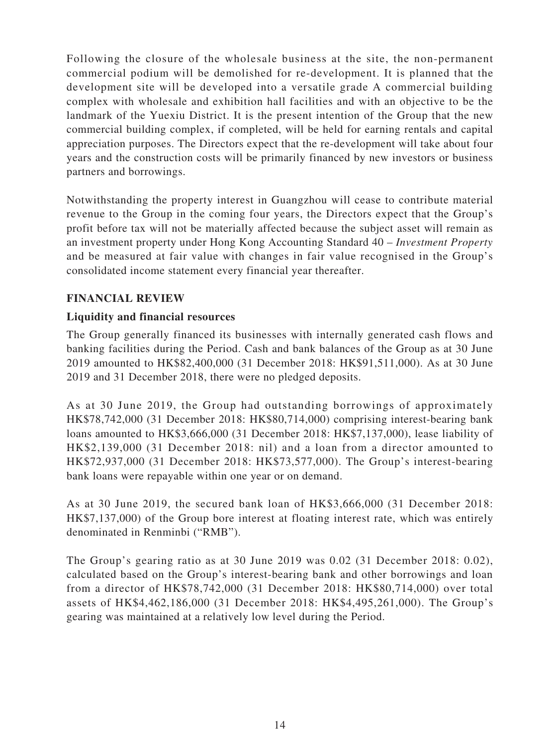Following the closure of the wholesale business at the site, the non-permanent commercial podium will be demolished for re-development. It is planned that the development site will be developed into a versatile grade A commercial building complex with wholesale and exhibition hall facilities and with an objective to be the landmark of the Yuexiu District. It is the present intention of the Group that the new commercial building complex, if completed, will be held for earning rentals and capital appreciation purposes. The Directors expect that the re-development will take about four years and the construction costs will be primarily financed by new investors or business partners and borrowings.

Notwithstanding the property interest in Guangzhou will cease to contribute material revenue to the Group in the coming four years, the Directors expect that the Group's profit before tax will not be materially affected because the subject asset will remain as an investment property under Hong Kong Accounting Standard 40 – *Investment Property* and be measured at fair value with changes in fair value recognised in the Group's consolidated income statement every financial year thereafter.

### **FINANCIAL REVIEW**

# **Liquidity and financial resources**

The Group generally financed its businesses with internally generated cash flows and banking facilities during the Period. Cash and bank balances of the Group as at 30 June 2019 amounted to HK\$82,400,000 (31 December 2018: HK\$91,511,000). As at 30 June 2019 and 31 December 2018, there were no pledged deposits.

As at 30 June 2019, the Group had outstanding borrowings of approximately HK\$78,742,000 (31 December 2018: HK\$80,714,000) comprising interest-bearing bank loans amounted to HK\$3,666,000 (31 December 2018: HK\$7,137,000), lease liability of HK\$2,139,000 (31 December 2018: nil) and a loan from a director amounted to HK\$72,937,000 (31 December 2018: HK\$73,577,000). The Group's interest-bearing bank loans were repayable within one year or on demand.

As at 30 June 2019, the secured bank loan of HK\$3,666,000 (31 December 2018: HK\$7,137,000) of the Group bore interest at floating interest rate, which was entirely denominated in Renminbi ("RMB").

The Group's gearing ratio as at 30 June 2019 was 0.02 (31 December 2018: 0.02), calculated based on the Group's interest-bearing bank and other borrowings and loan from a director of HK\$78,742,000 (31 December 2018: HK\$80,714,000) over total assets of HK\$4,462,186,000 (31 December 2018: HK\$4,495,261,000). The Group's gearing was maintained at a relatively low level during the Period.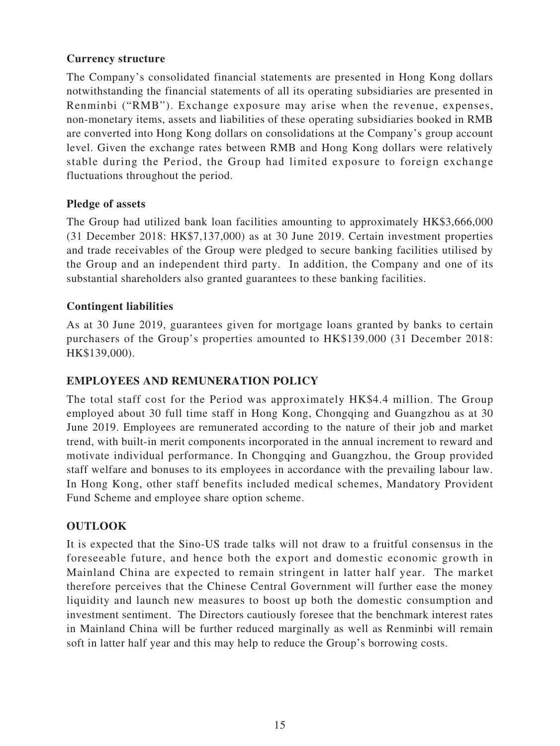# **Currency structure**

The Company's consolidated financial statements are presented in Hong Kong dollars notwithstanding the financial statements of all its operating subsidiaries are presented in Renminbi ("RMB"). Exchange exposure may arise when the revenue, expenses, non-monetary items, assets and liabilities of these operating subsidiaries booked in RMB are converted into Hong Kong dollars on consolidations at the Company's group account level. Given the exchange rates between RMB and Hong Kong dollars were relatively stable during the Period, the Group had limited exposure to foreign exchange fluctuations throughout the period.

### **Pledge of assets**

The Group had utilized bank loan facilities amounting to approximately HK\$3,666,000 (31 December 2018: HK\$7,137,000) as at 30 June 2019. Certain investment properties and trade receivables of the Group were pledged to secure banking facilities utilised by the Group and an independent third party. In addition, the Company and one of its substantial shareholders also granted guarantees to these banking facilities.

# **Contingent liabilities**

As at 30 June 2019, guarantees given for mortgage loans granted by banks to certain purchasers of the Group's properties amounted to HK\$139,000 (31 December 2018: HK\$139,000).

### **EMPLOYEES AND REMUNERATION POLICY**

The total staff cost for the Period was approximately HK\$4.4 million. The Group employed about 30 full time staff in Hong Kong, Chongqing and Guangzhou as at 30 June 2019. Employees are remunerated according to the nature of their job and market trend, with built-in merit components incorporated in the annual increment to reward and motivate individual performance. In Chongqing and Guangzhou, the Group provided staff welfare and bonuses to its employees in accordance with the prevailing labour law. In Hong Kong, other staff benefits included medical schemes, Mandatory Provident Fund Scheme and employee share option scheme.

# **OUTLOOK**

It is expected that the Sino-US trade talks will not draw to a fruitful consensus in the foreseeable future, and hence both the export and domestic economic growth in Mainland China are expected to remain stringent in latter half year. The market therefore perceives that the Chinese Central Government will further ease the money liquidity and launch new measures to boost up both the domestic consumption and investment sentiment. The Directors cautiously foresee that the benchmark interest rates in Mainland China will be further reduced marginally as well as Renminbi will remain soft in latter half year and this may help to reduce the Group's borrowing costs.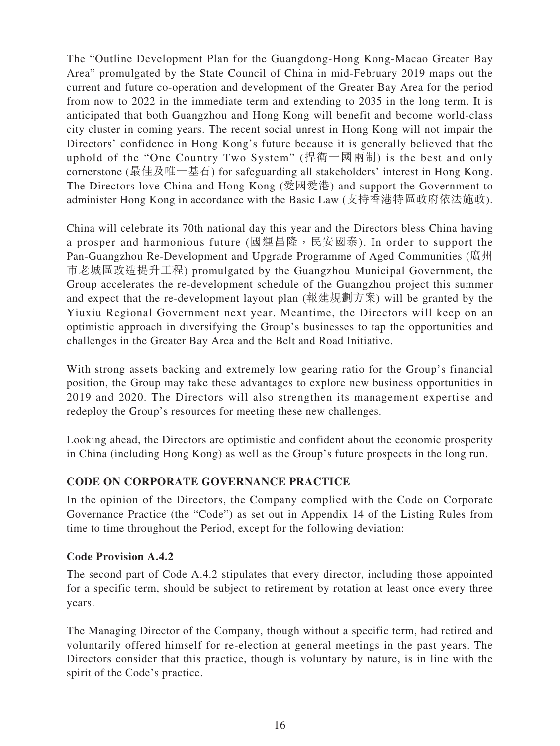The "Outline Development Plan for the Guangdong-Hong Kong-Macao Greater Bay Area" promulgated by the State Council of China in mid-February 2019 maps out the current and future co-operation and development of the Greater Bay Area for the period from now to 2022 in the immediate term and extending to 2035 in the long term. It is anticipated that both Guangzhou and Hong Kong will benefit and become world-class city cluster in coming years. The recent social unrest in Hong Kong will not impair the Directors' confidence in Hong Kong's future because it is generally believed that the uphold of the "One Country Two System" (捍衛一國兩制) is the best and only cornerstone (最佳及唯一基石) for safeguarding all stakeholders' interest in Hong Kong. The Directors love China and Hong Kong (愛國愛港) and support the Government to administer Hong Kong in accordance with the Basic Law (支持香港特區政府依法施政).

China will celebrate its 70th national day this year and the Directors bless China having a prosper and harmonious future (國運昌隆, 民安國泰). In order to support the Pan-Guangzhou Re-Development and Upgrade Programme of Aged Communities (廣州 市老城區改造提升工程) promulgated by the Guangzhou Municipal Government, the Group accelerates the re-development schedule of the Guangzhou project this summer and expect that the re-development layout plan (報建規劃方案) will be granted by the Yiuxiu Regional Government next year. Meantime, the Directors will keep on an optimistic approach in diversifying the Group's businesses to tap the opportunities and challenges in the Greater Bay Area and the Belt and Road Initiative.

With strong assets backing and extremely low gearing ratio for the Group's financial position, the Group may take these advantages to explore new business opportunities in 2019 and 2020. The Directors will also strengthen its management expertise and redeploy the Group's resources for meeting these new challenges.

Looking ahead, the Directors are optimistic and confident about the economic prosperity in China (including Hong Kong) as well as the Group's future prospects in the long run.

# **CODE ON CORPORATE GOVERNANCE PRACTICE**

In the opinion of the Directors, the Company complied with the Code on Corporate Governance Practice (the "Code") as set out in Appendix 14 of the Listing Rules from time to time throughout the Period, except for the following deviation:

### **Code Provision A.4.2**

The second part of Code A.4.2 stipulates that every director, including those appointed for a specific term, should be subject to retirement by rotation at least once every three years.

The Managing Director of the Company, though without a specific term, had retired and voluntarily offered himself for re-election at general meetings in the past years. The Directors consider that this practice, though is voluntary by nature, is in line with the spirit of the Code's practice.